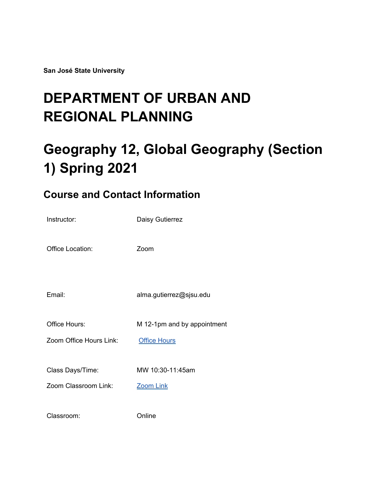**San José State University**

# **DEPARTMENT OF URBAN AND REGIONAL PLANNING**

# **Geography 12, Global Geography (Section 1) Spring 2021**

## **Course and Contact Information**

| Instructor:             | Daisy Gutierrez             |
|-------------------------|-----------------------------|
| Office Location:        | Zoom                        |
| Email:                  | alma.gutierrez@sjsu.edu     |
| Office Hours:           | M 12-1pm and by appointment |
| Zoom Office Hours Link: | <b>Office Hours</b>         |
| Class Days/Time:        | MW 10:30-11:45am            |
| Zoom Classroom Link:    | <b>Zoom Link</b>            |
| Classroom:              | Online                      |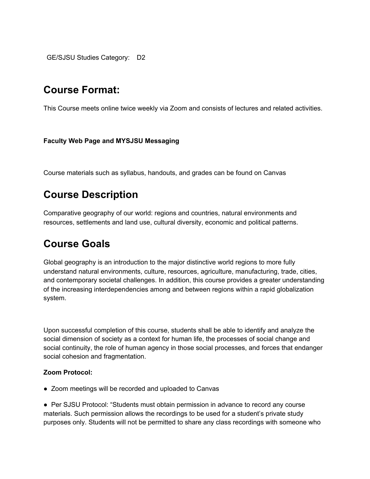GE/SJSU Studies Category: D2

### **Course Format:**

This Course meets online twice weekly via Zoom and consists of lectures and related activities.

#### **Faculty Web Page and MYSJSU Messaging**

Course materials such as syllabus, handouts, and grades can be found on Canvas

## **Course Description**

Comparative geography of our world: regions and countries, natural environments and resources, settlements and land use, cultural diversity, economic and political patterns.

### **Course Goals**

Global geography is an introduction to the major distinctive world regions to more fully understand natural environments, culture, resources, agriculture, manufacturing, trade, cities, and contemporary societal challenges. In addition, this course provides a greater understanding of the increasing interdependencies among and between regions within a rapid globalization system.

Upon successful completion of this course, students shall be able to identify and analyze the social dimension of society as a context for human life, the processes of social change and social continuity, the role of human agency in those social processes, and forces that endanger social cohesion and fragmentation.

#### **Zoom Protocol:**

● Zoom meetings will be recorded and uploaded to Canvas

● Per SJSU Protocol: "Students must obtain permission in advance to record any course materials. Such permission allows the recordings to be used for a student's private study purposes only. Students will not be permitted to share any class recordings with someone who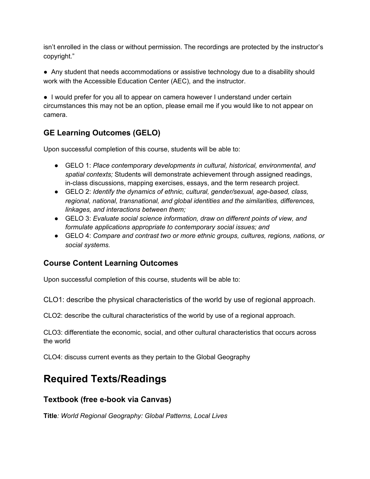isn't enrolled in the class or without permission. The recordings are protected by the instructor's copyright."

● Any student that needs accommodations or assistive technology due to a disability should work with the Accessible Education Center (AEC), and the instructor.

● I would prefer for you all to appear on camera however I understand under certain circumstances this may not be an option, please email me if you would like to not appear on camera.

#### **GE Learning Outcomes (GELO)**

Upon successful completion of this course, students will be able to:

- GELO 1: *Place contemporary developments in cultural, historical, environmental, and spatial contexts;* Students will demonstrate achievement through assigned readings, in-class discussions, mapping exercises, essays, and the term research project.
- GELO 2: *Identify the dynamics of ethnic, cultural, gender/sexual, age-based, class, regional, national, transnational, and global identities and the similarities, differences, linkages, and interactions between them;*
- GELO 3: *Evaluate social science information, draw on different points of view, and formulate applications appropriate to contemporary social issues; and*
- GELO 4: *Compare and contrast two or more ethnic groups, cultures, regions, nations, or social systems.*

#### **Course Content Learning Outcomes**

Upon successful completion of this course, students will be able to:

CLO1: describe the physical characteristics of the world by use of regional approach.

CLO2: describe the cultural characteristics of the world by use of a regional approach.

CLO3: differentiate the economic, social, and other cultural characteristics that occurs across the world

CLO4: discuss current events as they pertain to the Global Geography

# **Required Texts/Readings**

#### **Textbook (free e-book via Canvas)**

**Title***: World Regional Geography: Global Patterns, Local Lives*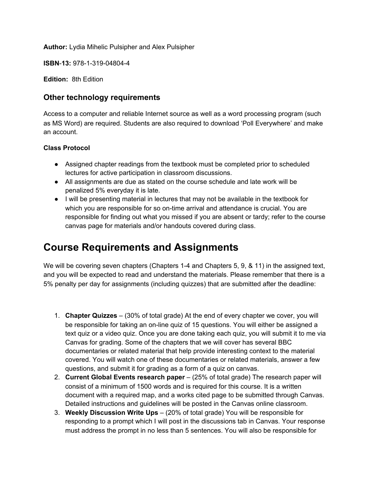**Author:** Lydia Mihelic Pulsipher and Alex Pulsipher

**ISBN**-**13:** 978-1-319-04804-4

**Edition:** 8th Edition

#### **Other technology requirements**

Access to a computer and reliable Internet source as well as a word processing program (such as MS Word) are required. Students are also required to download 'Poll Everywhere' and make an account.

#### **Class Protocol**

- Assigned chapter readings from the textbook must be completed prior to scheduled lectures for active participation in classroom discussions.
- All assignments are due as stated on the course schedule and late work will be penalized 5% everyday it is late.
- I will be presenting material in lectures that may not be available in the textbook for which you are responsible for so on-time arrival and attendance is crucial. You are responsible for finding out what you missed if you are absent or tardy; refer to the course canvas page for materials and/or handouts covered during class.

### **Course Requirements and Assignments**

We will be covering seven chapters (Chapters 1-4 and Chapters 5, 9, & 11) in the assigned text, and you will be expected to read and understand the materials. Please remember that there is a 5% penalty per day for assignments (including quizzes) that are submitted after the deadline:

- 1. **Chapter Quizzes** (30% of total grade) At the end of every chapter we cover, you will be responsible for taking an on-line quiz of 15 questions. You will either be assigned a text quiz or a video quiz. Once you are done taking each quiz, you will submit it to me via Canvas for grading. Some of the chapters that we will cover has several BBC documentaries or related material that help provide interesting context to the material covered. You will watch one of these documentaries or related materials, answer a few questions, and submit it for grading as a form of a quiz on canvas.
- 2. **Current Global Events research paper** (25% of total grade) The research paper will consist of a minimum of 1500 words and is required for this course. It is a written document with a required map, and a works cited page to be submitted through Canvas. Detailed instructions and guidelines will be posted in the Canvas online classroom.
- 3. **Weekly Discussion Write Ups** (20% of total grade) You will be responsible for responding to a prompt which I will post in the discussions tab in Canvas. Your response must address the prompt in no less than 5 sentences. You will also be responsible for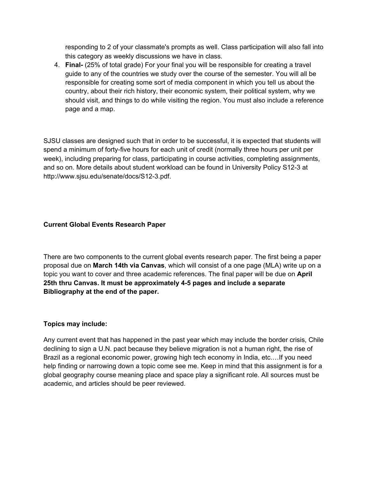responding to 2 of your classmate's prompts as well. Class participation will also fall into this category as weekly discussions we have in class.

4. **Final-** (25% of total grade) For your final you will be responsible for creating a travel guide to any of the countries we study over the course of the semester. You will all be responsible for creating some sort of media component in which you tell us about the country, about their rich history, their economic system, their political system, why we should visit, and things to do while visiting the region. You must also include a reference page and a map.

SJSU classes are designed such that in order to be successful, it is expected that students will spend a minimum of forty-five hours for each unit of credit (normally three hours per unit per week), including preparing for class, participating in course activities, completing assignments, and so on. More details about student workload can be found in University Policy S12-3 at http://www.sjsu.edu/senate/docs/S12-3.pdf.

#### **Current Global Events Research Paper**

There are two components to the current global events research paper. The first being a paper proposal due on **March 14th via Canvas**, which will consist of a one page (MLA) write up on a topic you want to cover and three academic references. The final paper will be due on **April 25th thru Canvas. It must be approximately 4-5 pages and include a separate Bibliography at the end of the paper.**

#### **Topics may include:**

Any current event that has happened in the past year which may include the border crisis, Chile declining to sign a U.N. pact because they believe migration is not a human right, the rise of Brazil as a regional economic power, growing high tech economy in India, etc.…If you need help finding or narrowing down a topic come see me. Keep in mind that this assignment is for a global geography course meaning place and space play a significant role. All sources must be academic, and articles should be peer reviewed.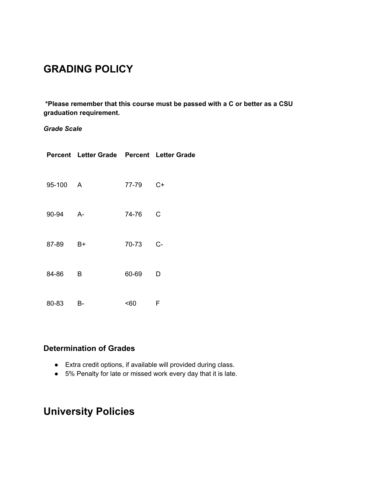# **GRADING POLICY**

**\*Please remember that this course must be passed with a C or better as a CSU graduation requirement.**

#### *Grade Scale*

|          | Percent Letter Grade Percent Letter Grade |       |              |
|----------|-------------------------------------------|-------|--------------|
| 95-100 A |                                           | 77-79 | $C+$         |
| 90-94 A- |                                           | 74-76 | $\mathsf{C}$ |
| 87-89 B+ |                                           | 70-73 | $C-$         |
| 84-86    | - B                                       | 60-69 | D            |
| 80-83    | B-                                        | <60   | - F          |

#### **Determination of Grades**

- Extra credit options, if available will provided during class.
- 5% Penalty for late or missed work every day that it is late.

## **University Policies**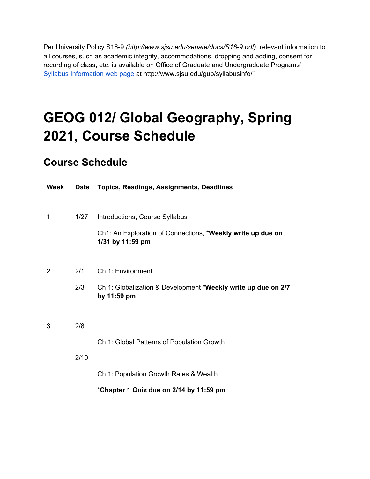Per University Policy S16-9 *(http://www.sjsu.edu/senate/docs/S16-9.pdf)*, relevant information to all courses, such as academic integrity, accommodations, dropping and adding, consent for recording of class, etc. is available on Office of Graduate and Undergraduate Programs' Syllabus [Information](http://www.sjsu.edu/gup/syllabusinfo/) web page at http://www.sjsu.edu/gup/syllabusinfo/"

# **GEOG 012/ Global Geography, Spring 2021, Course Schedule**

### **Course Schedule**

| <b>Week</b> | Date | <b>Topics, Readings, Assignments, Deadlines</b>                                 |
|-------------|------|---------------------------------------------------------------------------------|
| 1           | 1/27 | Introductions, Course Syllabus                                                  |
|             |      | Ch1: An Exploration of Connections, *Weekly write up due on<br>1/31 by 11:59 pm |
| 2           | 2/1  | Ch 1: Environment                                                               |
|             | 2/3  | Ch 1: Globalization & Development *Weekly write up due on 2/7<br>by 11:59 pm    |
| 3           | 2/8  |                                                                                 |
|             |      | Ch 1: Global Patterns of Population Growth                                      |
|             | 2/10 |                                                                                 |
|             |      | Ch 1: Population Growth Rates & Wealth                                          |
|             |      | *Chapter 1 Quiz due on 2/14 by 11:59 pm                                         |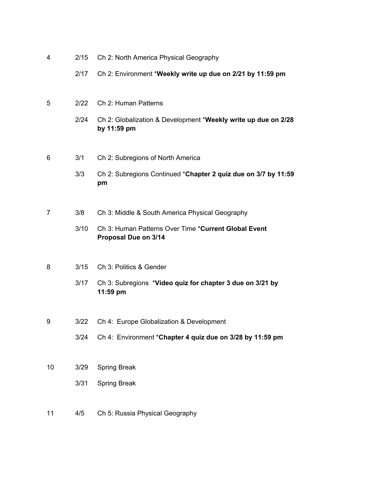| 4  | 2/15 | Ch 2: North America Physical Geography                                        |
|----|------|-------------------------------------------------------------------------------|
|    | 2/17 | Ch 2: Environment *Weekly write up due on 2/21 by 11:59 pm                    |
| 5  | 2/22 | Ch 2: Human Patterns                                                          |
|    | 2/24 | Ch 2: Globalization & Development *Weekly write up due on 2/28<br>by 11:59 pm |
| 6  | 3/1  | Ch 2: Subregions of North America                                             |
|    | 3/3  | Ch 2: Subregions Continued *Chapter 2 quiz due on 3/7 by 11:59<br>pm          |
|    |      |                                                                               |
| 7  | 3/8  | Ch 3: Middle & South America Physical Geography                               |
|    | 3/10 | Ch 3: Human Patterns Over Time *Current Global Event<br>Proposal Due on 3/14  |
| 8  | 3/15 | Ch 3: Politics & Gender                                                       |
|    | 3/17 | Ch 3: Subregions *Video quiz for chapter 3 due on 3/21 by<br>11:59 pm         |
|    |      |                                                                               |
| 9  | 3/22 | Ch 4: Europe Globalization & Development                                      |
|    | 3/24 | Ch 4: Environment *Chapter 4 quiz due on 3/28 by 11:59 pm                     |
| 10 | 3/29 | <b>Spring Break</b>                                                           |
|    | 3/31 | <b>Spring Break</b>                                                           |
| 11 | 4/5  | Ch 5: Russia Physical Geography                                               |
|    |      |                                                                               |